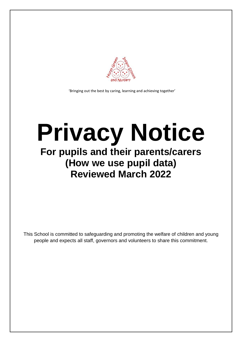

'Bringing out the best by caring, learning and achieving together'

# **Privacy Notice For pupils and their parents/carers**

## **(How we use pupil data) Reviewed March 2022**

This School is committed to safeguarding and promoting the welfare of children and young people and expects all staff, governors and volunteers to share this commitment.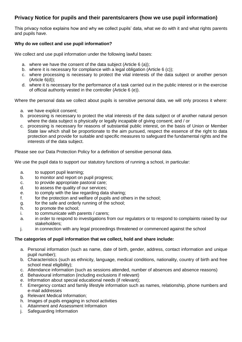### **Privacy Notice for pupils and their parents/carers (how we use pupil information)**

This privacy notice explains how and why we collect pupils' data, what we do with it and what rights parents and pupils have.

#### **Why do we collect and use pupil information?**

We collect and use pupil information under the following lawful bases:

- a. where we have the consent of the data subject (Article 6 (a));
- b. where it is necessary for compliance with a legal obligation (Article 6 (c));
- c. where processing is necessary to protect the vital interests of the data subject or another person (Article 6(d));
- d. where it is necessary for the performance of a task carried out in the public interest or in the exercise of official authority vested in the controller (Article 6 (e)).

Where the personal data we collect about pupils is sensitive personal data, we will only process it where:

- a. we have explicit consent;
- b. processing is necessary to protect the vital interests of the data subject or of another natural person where the data subject is physically or legally incapable of giving consent; and / or
- c. processing is necessary for reasons of substantial public interest, on the basis of Union or Member State law which shall be proportionate to the aim pursued, respect the essence of the right to data protection and provide for suitable and specific measures to safeguard the fundamental rights and the interests of the data subject.

Please see our Data Protection Policy for a definition of sensitive personal data.

We use the pupil data to support our statutory functions of running a school, in particular:

- a. to support pupil learning;
- b. to monitor and report on pupil progress;
- c. to provide appropriate pastoral care;
- d. to assess the quality of our services;
- e. to comply with the law regarding data sharing;
- f. for the protection and welfare of pupils and others in the school;
- g. for the safe and orderly running of the school;
- h. to promote the school;
- i. to communicate with parents / carers;
- a. in order to respond to investigations from our regulators or to respond to complaints raised by our stakeholders;
- j. in connection with any legal proceedings threatened or commenced against the school

#### **The categories of pupil information that we collect, hold and share include:**

- a. Personal information (such as name, date of birth, gender, address, contact information and unique pupil number);
- b. Characteristics (such as ethnicity, language, medical conditions, nationality, country of birth and free school meal eligibility);
- c. Attendance information (such as sessions attended, number of absences and absence reasons)
- d. Behavioural information (including exclusions if relevant)
- e. Information about special educational needs (if relevant);
- f. Emergency contact and family lifestyle information such as names, relationship, phone numbers and e-mail addresses
- g. Relevant Medical Information;
- h. Images of pupils engaging in school activities
- i. Attainment and Assessment Information
- j. Safeguarding Information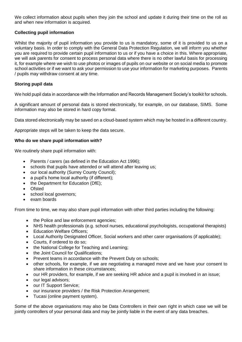We collect information about pupils when they join the school and update it during their time on the roll as and when new information is acquired.

#### **Collecting pupil information**

Whilst the majority of pupil information you provide to us is mandatory, some of it is provided to us on a voluntary basis. In order to comply with the General Data Protection Regulation, we will inform you whether you are required to provide certain pupil information to us or if you have a choice in this. Where appropriate, we will ask parents for consent to process personal data where there is no other lawful basis for processing it, for example where we wish to use photos or images of pupils on our website or on social media to promote school activities or if we want to ask your permission to use your information for marketing purposes. Parents / pupils may withdraw consent at any time.

#### **Storing pupil data**

We hold pupil data in accordance with the Information and Records Management Society's toolkit for schools.

A significant amount of personal data is stored electronically, for example, on our database, SIMS. Some information may also be stored in hard copy format.

Data stored electronically may be saved on a cloud-based system which may be hosted in a different country.

Appropriate steps will be taken to keep the data secure.

#### **Who do we share pupil information with?**

We routinely share pupil information with:

- Parents / carers (as defined in the Education Act 1996);
- schools that pupils have attended or will attend after leaving us;
- our local authority (Surrey County Council);
- a pupil's home local authority (if different);
- the Department for Education (DfE);
- Ofsted
- school local governors;
- exam boards

From time to time, we may also share pupil information with other third parties including the following:

- the Police and law enforcement agencies;
- NHS health professionals (e.g. school nurses, educational psychologists, occupational therapists)
- Education Welfare Officers;
- Local Authority Designated Officer, Social workers and other carer organisations (if applicable);
- Courts, if ordered to do so;
- the National College for Teaching and Learning;
- the Joint Council for Qualifications;
- Prevent teams in accordance with the Prevent Duty on schools;
- other schools, for example, if we are negotiating a managed move and we have your consent to share information in these circumstances;
- our HR providers, for example, if we are seeking HR advice and a pupil is involved in an issue;
- our legal advisors;
- our IT Support Service;
- our insurance providers / the Risk Protection Arrangement;
- Tucasi (online payment system).

Some of the above organisations may also be Data Controllers in their own right in which case we will be jointly controllers of your personal data and may be jointly liable in the event of any data breaches.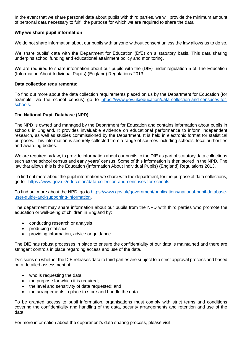In the event that we share personal data about pupils with third parties, we will provide the minimum amount of personal data necessary to fulfil the purpose for which we are required to share the data.

#### **Why we share pupil information**

We do not share information about our pupils with anyone without consent unless the law allows us to do so.

We share pupils' data with the Department for Education (DfE) on a statutory basis. This data sharing underpins school funding and educational attainment policy and monitoring.

We are required to share information about our pupils with the (DfE) under requiation 5 of The Education (Information About Individual Pupils) (England) Regulations 2013.

#### **Data collection requirements:**

To find out more about the data collection requirements placed on us by the Department for Education (for example; via the school census) go to [https://www.gov.uk/education/data-collection-and-censuses-for](https://www.gov.uk/education/data-collection-and-censuses-for-schools)[schools.](https://www.gov.uk/education/data-collection-and-censuses-for-schools)

#### **The National Pupil Database (NPD)**

The NPD is owned and managed by the Department for Education and contains information about pupils in schools in England. It provides invaluable evidence on educational performance to inform independent research, as well as studies commissioned by the Department. It is held in electronic format for statistical purposes. This information is securely collected from a range of sources including schools, local authorities and awarding bodies.

We are required by law, to provide information about our pupils to the DfE as part of statutory data collections such as the school census and early years' census. Some of this information is then stored in the NPD. The law that allows this is the Education (Information About Individual Pupils) (England) Regulations 2013.

To find out more about the pupil information we share with the department, for the purpose of data collections, go to: [https://www.gov.uk/education/data-collection-and-censuses-for-schools.](https://www.gov.uk/education/data-collection-and-censuses-for-schools)

To find out more about the NPD, go to [https://www.gov.uk/government/publications/national-pupil-database](https://www.gov.uk/government/publications/national-pupil-database-user-guide-and-supporting-information)[user-guide-and-supporting-information.](https://www.gov.uk/government/publications/national-pupil-database-user-guide-and-supporting-information)

The department may share information about our pupils from the NPD with third parties who promote the education or well-being of children in England by:

- conducting research or analysis
- producing statistics
- providing information, advice or guidance

The DfE has robust processes in place to ensure the confidentiality of our data is maintained and there are stringent controls in place regarding access and use of the data.

Decisions on whether the DfE releases data to third parties are subject to a strict approval process and based on a detailed assessment of:

- who is requesting the data:
- the purpose for which it is required;
- the level and sensitivity of data requested; and
- the arrangements in place to store and handle the data.

To be granted access to pupil information, organisations must comply with strict terms and conditions covering the confidentiality and handling of the data, security arrangements and retention and use of the data.

For more information about the department's data sharing process, please visit: